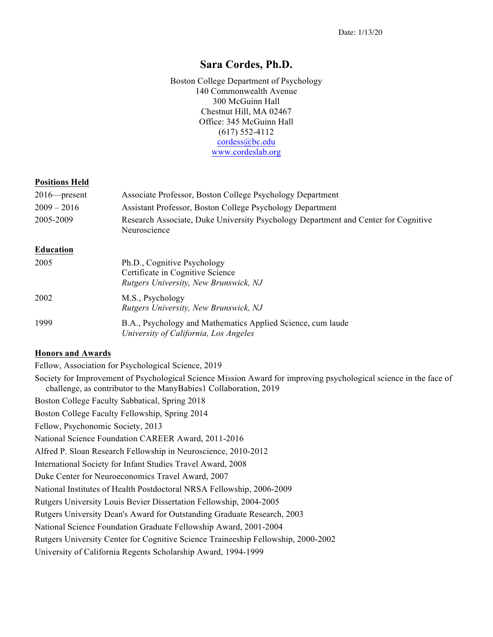## **Sara Cordes, Ph.D.**

Boston College Department of Psychology 140 Commonwealth Avenue 300 McGuinn Hall Chestnut Hill, MA 02467 Office: 345 McGuinn Hall (617) 552-4112 cordess@bc.edu www.cordeslab.org

#### **Positions Held**

| $2016$ - present | Associate Professor, Boston College Psychology Department                                                |
|------------------|----------------------------------------------------------------------------------------------------------|
| $2009 - 2016$    | Assistant Professor, Boston College Psychology Department                                                |
| 2005-2009        | Research Associate, Duke University Psychology Department and Center for Cognitive<br>Neuroscience       |
| <b>Education</b> |                                                                                                          |
| 2005             | Ph.D., Cognitive Psychology<br>Certificate in Cognitive Science<br>Rutgers University, New Brunswick, NJ |
| 2002             | M.S., Psychology<br>Rutgers University, New Brunswick, NJ                                                |
| 1999             | B.A., Psychology and Mathematics Applied Science, cum laude<br>University of California, Los Angeles     |

#### **Honors and Awards**

Fellow, Association for Psychological Science, 2019

Society for Improvement of Psychological Science Mission Award for improving psychological science in the face of challenge, as contributor to the ManyBabies1 Collaboration, 2019

Boston College Faculty Sabbatical, Spring 2018

Boston College Faculty Fellowship, Spring 2014

Fellow, Psychonomic Society, 2013

National Science Foundation CAREER Award, 2011-2016

Alfred P. Sloan Research Fellowship in Neuroscience, 2010-2012

International Society for Infant Studies Travel Award, 2008

Duke Center for Neuroeconomics Travel Award, 2007

National Institutes of Health Postdoctoral NRSA Fellowship, 2006-2009

Rutgers University Louis Bevier Dissertation Fellowship, 2004-2005

Rutgers University Dean's Award for Outstanding Graduate Research, 2003

National Science Foundation Graduate Fellowship Award, 2001-2004

Rutgers University Center for Cognitive Science Traineeship Fellowship, 2000-2002

University of California Regents Scholarship Award, 1994-1999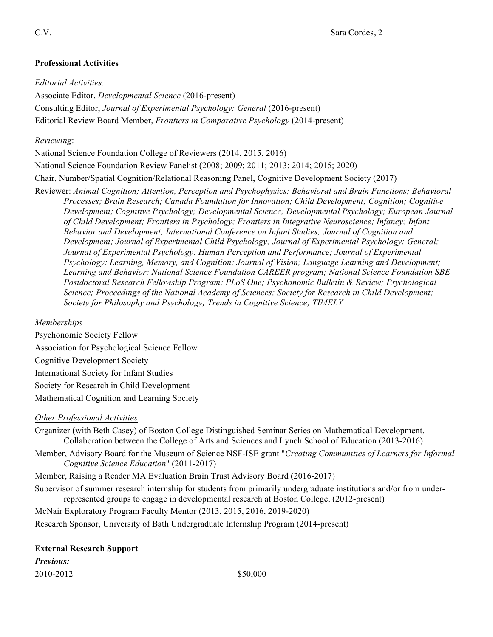## **Professional Activities**

### *Editorial Activities:*

Associate Editor, *Developmental Science* (2016-present) Consulting Editor, *Journal of Experimental Psychology: General* (2016-present) Editorial Review Board Member, *Frontiers in Comparative Psychology* (2014-present)

### *Reviewing*:

National Science Foundation College of Reviewers (2014, 2015, 2016) National Science Foundation Review Panelist (2008; 2009; 2011; 2013; 2014; 2015; 2020) Chair, Number/Spatial Cognition/Relational Reasoning Panel, Cognitive Development Society (2017)

Reviewer: *Animal Cognition; Attention, Perception and Psychophysics; Behavioral and Brain Functions; Behavioral Processes; Brain Research; Canada Foundation for Innovation; Child Development; Cognition; Cognitive Development; Cognitive Psychology; Developmental Science; Developmental Psychology; European Journal of Child Development; Frontiers in Psychology; Frontiers in Integrative Neuroscience; Infancy; Infant Behavior and Development; International Conference on Infant Studies; Journal of Cognition and Development; Journal of Experimental Child Psychology; Journal of Experimental Psychology: General; Journal of Experimental Psychology: Human Perception and Performance; Journal of Experimental Psychology: Learning, Memory, and Cognition; Journal of Vision; Language Learning and Development; Learning and Behavior; National Science Foundation CAREER program; National Science Foundation SBE Postdoctoral Research Fellowship Program; PLoS One; Psychonomic Bulletin & Review; Psychological Science; Proceedings of the National Academy of Sciences; Society for Research in Child Development; Society for Philosophy and Psychology; Trends in Cognitive Science; TIMELY* 

## *Memberships*

Psychonomic Society Fellow Association for Psychological Science Fellow Cognitive Development Society International Society for Infant Studies Society for Research in Child Development Mathematical Cognition and Learning Society

## *Other Professional Activities*

Organizer (with Beth Casey) of Boston College Distinguished Seminar Series on Mathematical Development, Collaboration between the College of Arts and Sciences and Lynch School of Education (2013-2016)

Member, Advisory Board for the Museum of Science NSF-ISE grant "*Creating Communities of Learners for Informal Cognitive Science Education*" (2011-2017)

Member, Raising a Reader MA Evaluation Brain Trust Advisory Board (2016-2017)

Supervisor of summer research internship for students from primarily undergraduate institutions and/or from underrepresented groups to engage in developmental research at Boston College, (2012-present)

McNair Exploratory Program Faculty Mentor (2013, 2015, 2016, 2019-2020)

Research Sponsor, University of Bath Undergraduate Internship Program (2014-present)

| <b>External Research Support</b> |  |
|----------------------------------|--|
|                                  |  |

*Previous:*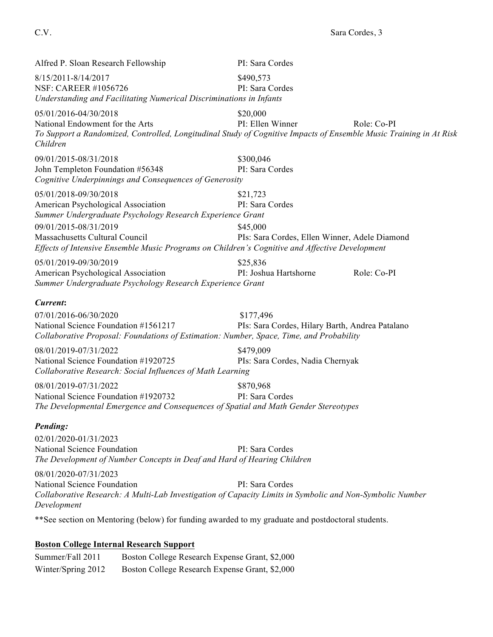Alfred P. Sloan Research Fellowship PI: Sara Cordes 8/15/2011-8/14/2017 \$490,573 NSF: CAREER #1056726 PI: Sara Cordes *Understanding and Facilitating Numerical Discriminations in Infants* 05/01/2016-04/30/2018 \$20,000 National Endowment for the Arts **PI: Ellen Winner** Role: Co-PI *To Support a Randomized, Controlled, Longitudinal Study of Cognitive Impacts of Ensemble Music Training in At Risk Children* 09/01/2015-08/31/2018 \$300,046 John Templeton Foundation #56348 PI: Sara Cordes *Cognitive Underpinnings and Consequences of Generosity* 05/01/2018-09/30/2018 \$21,723 American Psychological Association PI: Sara Cordes *Summer Undergraduate Psychology Research Experience Grant* 09/01/2015-08/31/2019 \$45,000 Massachusetts Cultural Council PIs: Sara Cordes, Ellen Winner, Adele Diamond *Effects of Intensive Ensemble Music Programs on Children's Cognitive and Affective Development*  05/01/2019-09/30/2019 \$25,836 American Psychological Association PI: Joshua Hartshorne Role: Co-PI *Summer Undergraduate Psychology Research Experience Grant Current***:** 07/01/2016-06/30/2020 \$177,496 National Science Foundation #1561217 PIs: Sara Cordes, Hilary Barth, Andrea Patalano *Collaborative Proposal: Foundations of Estimation: Number, Space, Time, and Probability* 08/01/2019-07/31/2022 \$479,009 National Science Foundation #1920725 PIs: Sara Cordes, Nadia Chernyak *Collaborative Research: Social Influences of Math Learning* 08/01/2019-07/31/2022 \$870,968 National Science Foundation #1920732 PI: Sara Cordes *The Developmental Emergence and Consequences of Spatial and Math Gender Stereotypes Pending:* 02/01/2020-01/31/2023 National Science Foundation **PI:** Sara Cordes *The Development of Number Concepts in Deaf and Hard of Hearing Children* 08/01/2020-07/31/2023 National Science Foundation **PI:** Sara Cordes *Collaborative Research: A Multi-Lab Investigation of Capacity Limits in Symbolic and Non-Symbolic Number Development* \*\*See section on Mentoring (below) for funding awarded to my graduate and postdoctoral students.

### **Boston College Internal Research Support**

Summer/Fall 2011 Boston College Research Expense Grant, \$2,000 Winter/Spring 2012 Boston College Research Expense Grant, \$2,000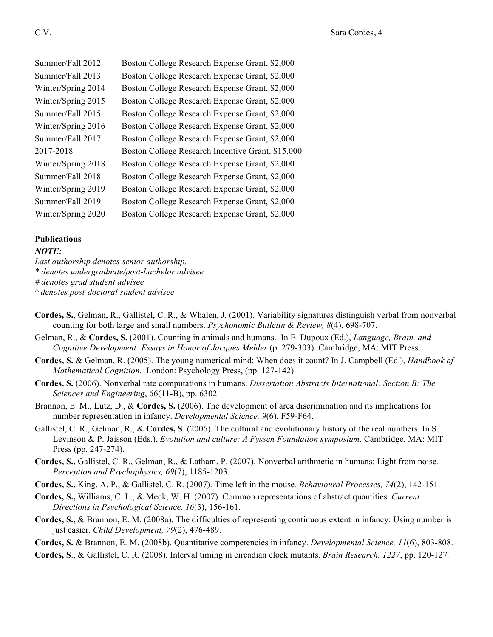| Summer/Fall 2012   | Boston College Research Expense Grant, \$2,000    |
|--------------------|---------------------------------------------------|
| Summer/Fall 2013   | Boston College Research Expense Grant, \$2,000    |
| Winter/Spring 2014 | Boston College Research Expense Grant, \$2,000    |
| Winter/Spring 2015 | Boston College Research Expense Grant, \$2,000    |
| Summer/Fall 2015   | Boston College Research Expense Grant, \$2,000    |
| Winter/Spring 2016 | Boston College Research Expense Grant, \$2,000    |
| Summer/Fall 2017   | Boston College Research Expense Grant, \$2,000    |
| 2017-2018          | Boston College Research Incentive Grant, \$15,000 |
| Winter/Spring 2018 | Boston College Research Expense Grant, \$2,000    |
| Summer/Fall 2018   | Boston College Research Expense Grant, \$2,000    |
| Winter/Spring 2019 | Boston College Research Expense Grant, \$2,000    |
| Summer/Fall 2019   | Boston College Research Expense Grant, \$2,000    |
| Winter/Spring 2020 | Boston College Research Expense Grant, \$2,000    |

### **Publications**

#### *NOTE:*

*Last authorship denotes senior authorship.*

*\* denotes undergraduate/post-bachelor advisee*

*# denotes grad student advisee*

*^ denotes post-doctoral student advisee*

- **Cordes, S.**, Gelman, R., Gallistel, C. R., & Whalen, J. (2001). Variability signatures distinguish verbal from nonverbal counting for both large and small numbers. *Psychonomic Bulletin & Review, 8*(4), 698-707.
- Gelman, R., & **Cordes, S.** (2001). Counting in animals and humans. In E. Dupoux (Ed.), *Language, Brain, and Cognitive Development: Essays in Honor of Jacques Mehler* (p. 279-303). Cambridge, MA: MIT Press.
- **Cordes, S.** & Gelman, R. (2005). The young numerical mind: When does it count? In J. Campbell (Ed.), *Handbook of Mathematical Cognition.* London: Psychology Press, (pp. 127-142).
- **Cordes, S.** (2006). Nonverbal rate computations in humans. *Dissertation Abstracts International: Section B: The Sciences and Engineering*, 66(11-B), pp. 6302
- Brannon, E. M., Lutz, D., & **Cordes, S.** (2006). The development of area discrimination and its implications for number representation in infancy. *Developmental Science, 9*(6), F59-F64.
- Gallistel, C. R., Gelman, R., & **Cordes, S**. (2006). The cultural and evolutionary history of the real numbers. In S. Levinson & P. Jaisson (Eds.), *Evolution and culture: A Fyssen Foundation symposium.* Cambridge, MA: MIT Press (pp. 247-274).
- **Cordes, S.,** Gallistel, C. R., Gelman, R., & Latham, P. (2007). Nonverbal arithmetic in humans: Light from noise*. Perception and Psychophysics, 69*(7), 1185-1203.
- **Cordes, S.,** King, A. P., & Gallistel, C. R. (2007). Time left in the mouse*. Behavioural Processes, 74*(2), 142-151.
- **Cordes, S.,** Williams, C. L., & Meck, W. H. (2007). Common representations of abstract quantities*. Current Directions in Psychological Science, 16*(3), 156-161.
- **Cordes, S.,** & Brannon, E. M. (2008a). The difficulties of representing continuous extent in infancy: Using number is just easier. *Child Development, 79*(2), 476-489.

**Cordes, S.** & Brannon, E. M. (2008b). Quantitative competencies in infancy. *Developmental Science, 11*(6), 803-808.

**Cordes, S**., & Gallistel, C. R. (2008). Interval timing in circadian clock mutants. *Brain Research, 1227*, pp. 120-127*.*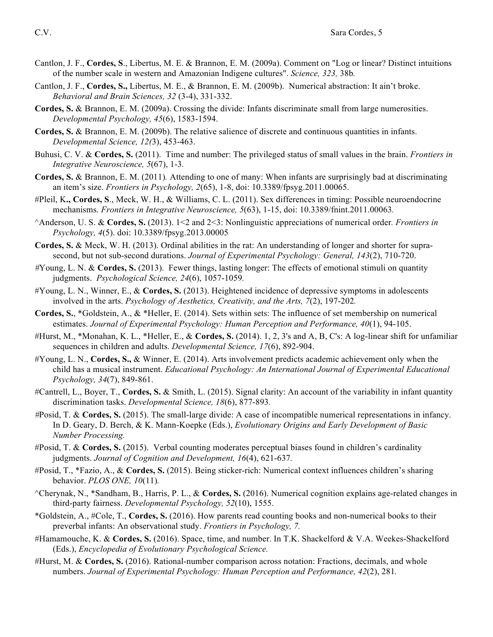- Cantlon, J. F., **Cordes, S**., Libertus, M. E. & Brannon, E. M. (2009a). Comment on "Log or linear? Distinct intuitions of the number scale in western and Amazonian Indigene cultures". *Science, 323,* 38b*.*
- Cantlon, J. F., **Cordes, S.,** Libertus, M. E., & Brannon, E. M. (2009b). Numerical abstraction: It ain't broke. *Behavioral and Brain Sciences, 32* (3-4), 331-332.
- **Cordes, S.** & Brannon, E. M. (2009a). Crossing the divide: Infants discriminate small from large numerosities. *Developmental Psychology, 45*(6), 1583-1594.
- **Cordes, S.** & Brannon, E. M. (2009b). The relative salience of discrete and continuous quantities in infants. *Developmental Science, 12(*3), 453-463.
- Buhusi, C. V. & **Cordes, S.** (2011). Time and number: The privileged status of small values in the brain. *Frontiers in Integrative Neuroscience, 5*(67), 1-3*.*
- **Cordes, S.** & Brannon, E. M. (2011)*.* Attending to one of many: When infants are surprisingly bad at discriminating an item's size. *Frontiers in Psychology, 2*(65), 1-8, doi: 10.3389/fpsyg.2011.00065.
- #Pleil, K**., Cordes, S**., Meck, W. H., & Williams, C. L. (2011). Sex differences in timing: Possible neuroendocrine mechanisms. *Frontiers in Integrative Neuroscience, 5*(63), 1-15, doi: 10.3389/fnint.2011.00063*.*
- ^Anderson, U. S. & **Cordes, S.** (2013). 1<2 and 2<3: Nonlinguistic appreciations of numerical order*. Frontiers in Psychology, 4*(5). doi: 10.3389/fpsyg.2013.00005
- **Cordes, S.** & Meck, W. H. (2013). Ordinal abilities in the rat: An understanding of longer and shorter for suprasecond, but not sub-second durations. *Journal of Experimental Psychology: General, 143*(2), 710-720.
- *#*Young, L. N. & **Cordes, S.** (2013). Fewer things, lasting longer: The effects of emotional stimuli on quantity judgments. *Psychological Science, 24*(6), 1057-1059*.*
- #Young, L. N., Winner, E., & **Cordes, S.** (2013). Heightened incidence of depressive symptoms in adolescents involved in the arts. *Psychology of Aesthetics, Creativity, and the Arts, 7*(2), 197-202*.*
- **Cordes, S.**, \*Goldstein, A., & \*Heller, E. (2014). Sets within sets: The influence of set membership on numerical estimates. *Journal of Experimental Psychology: Human Perception and Performance, 40*(1), 94-105.
- #Hurst, M., \*Monahan, K. L., \*Heller, E., & **Cordes, S.** (2014). 1, 2, 3's and A, B, C's: A log-linear shift for unfamiliar sequences in children and adults. *Developmental Science, 17*(6), 892-904.
- #Young, L. N., **Cordes, S.,** & Winner, E. (2014). Arts involvement predicts academic achievement only when the child has a musical instrument. *Educational Psychology: An International Journal of Experimental Educational Psychology, 34*(7), 849-861.
- #Cantrell, L., Boyer, T., **Cordes, S.** & Smith, L. (2015). Signal clarity: An account of the variability in infant quantity discrimination tasks. *Developmental Science, 18*(6), 877-893*.*
- *#*Posid, T. & **Cordes, S.** (2015). The small-large divide: A case of incompatible numerical representations in infancy. In D. Geary, D. Berch, & K. Mann-Koepke (Eds.), *Evolutionary Origins and Early Development of Basic Number Processing.*
- #Posid, T. & **Cordes, S.** (2015). Verbal counting moderates perceptual biases found in children's cardinality judgments. *Journal of Cognition and Development, 16*(4), 621-637*.*
- #Posid, T., \*Fazio, A., & **Cordes, S.** (2015). Being sticker-rich: Numerical context influences children's sharing behavior. *PLOS ONE, 10*(11)*.*
- ^Cherynak, N., \*Sandham, B., Harris, P. L., & **Cordes, S.** (2016). Numerical cognition explains age-related changes in third-party fairness. *Developmental Psychology, 52*(10), 1555.
- \*Goldstein, A., #Cole, T., **Cordes, S.** (2016). How parents read counting books and non-numerical books to their preverbal infants: An observational study. *Frontiers in Psychology, 7.*
- #Hamamouche, K. & **Cordes, S.** (2016). Space, time, and number. In T.K. Shackelford & V.A. Weekes-Shackelford (Eds.), *Encyclopedia of Evolutionary Psychological Science.*
- #Hurst, M. & **Cordes, S.** (2016). Rational-number comparison across notation: Fractions, decimals, and whole numbers. *Journal of Experimental Psychology: Human Perception and Performance, 42*(2), 281*.*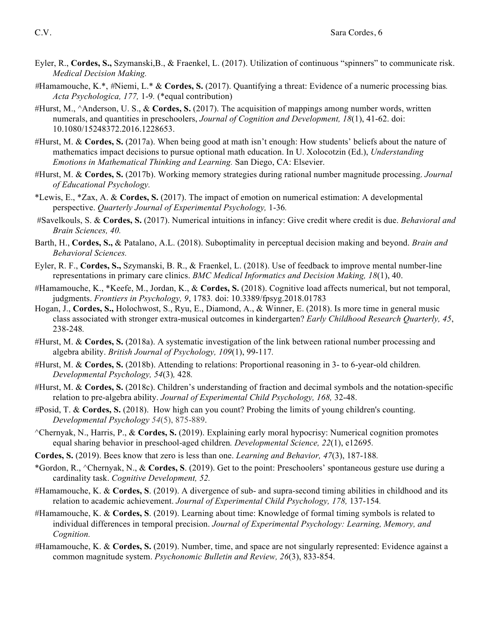- Eyler, R., **Cordes, S.,** Szymanski,B., & Fraenkel, L. (2017). Utilization of continuous "spinners" to communicate risk. *Medical Decision Making.*
- *#*Hamamouche, K.\*, *#*Niemi, L.\* & **Cordes, S.** (2017). Quantifying a threat: Evidence of a numeric processing bias*. Acta Psychologica, 177,* 1-9*.* (\*equal contribution)
- #Hurst, M., ^Anderson, U. S., & **Cordes, S.** (2017). The acquisition of mappings among number words, written numerals, and quantities in preschoolers, *Journal of Cognition and Development, 18*(1), 41-62. doi: 10.1080/15248372.2016.1228653.
- #Hurst, M. & **Cordes, S.** (2017a). When being good at math isn't enough: How students' beliefs about the nature of mathematics impact decisions to pursue optional math education. In U. Xolocotzin (Ed.), *Understanding Emotions in Mathematical Thinking and Learning.* San Diego, CA: Elsevier.
- #Hurst, M. & **Cordes, S.** (2017b). Working memory strategies during rational number magnitude processing. *Journal of Educational Psychology.*
- \*Lewis, E., \*Zax, A. & **Cordes, S.** (2017). The impact of emotion on numerical estimation: A developmental perspective. *Quarterly Journal of Experimental Psychology,* 1-36*.*
- #Savelkouls, S. & **Cordes, S.** (2017). Numerical intuitions in infancy: Give credit where credit is due. *Behavioral and Brain Sciences, 40.*
- Barth, H., **Cordes, S.,** & Patalano, A.L. (2018). Suboptimality in perceptual decision making and beyond. *Brain and Behavioral Sciences.*
- Eyler, R. F., **Cordes, S.,** Szymanski, B. R., & Fraenkel, L. (2018). Use of feedback to improve mental number-line representations in primary care clinics. *BMC Medical Informatics and Decision Making, 18*(1), 40.
- #Hamamouche, K., \*Keefe, M., Jordan, K., & **Cordes, S.** (2018). Cognitive load affects numerical, but not temporal, judgments. *Frontiers in Psychology, 9*, 1783*.* doi: 10.3389/fpsyg.2018.01783
- Hogan, J., **Cordes, S.,** Holochwost, S., Ryu, E., Diamond, A., & Winner, E. (2018). Is more time in general music class associated with stronger extra-musical outcomes in kindergarten? *Early Childhood Research Quarterly, 45*, 238-248*.*
- #Hurst, M. & **Cordes, S.** (2018a). A systematic investigation of the link between rational number processing and algebra ability. *British Journal of Psychology, 109*(1), 99-117*.*
- #Hurst, M. & **Cordes, S.** (2018b). Attending to relations: Proportional reasoning in 3- to 6-year-old children*. Developmental Psychology, 54*(3)*,* 428*.*
- #Hurst, M. & **Cordes, S.** (2018c). Children's understanding of fraction and decimal symbols and the notation-specific relation to pre-algebra ability. *Journal of Experimental Child Psychology, 168,* 32-48.
- *#*Posid, T. & **Cordes, S.** (2018).How high can you count? Probing the limits of young children's counting. *Developmental Psychology 54*(5), 875-889.
- ^Chernyak, N., Harris, P., & **Cordes, S.** (2019). Explaining early moral hypocrisy: Numerical cognition promotes equal sharing behavior in preschool-aged children*. Developmental Science, 22*(1), e12695*.*
- **Cordes, S.** (2019). Bees know that zero is less than one. *Learning and Behavior, 47*(3), 187-188*.*
- \*Gordon, R., ^Chernyak, N., & **Cordes, S**. (2019). Get to the point: Preschoolers' spontaneous gesture use during a cardinality task. *Cognitive Development, 52.*
- #Hamamouche, K. & **Cordes, S**. (2019). A divergence of sub- and supra-second timing abilities in childhood and its relation to academic achievement. *Journal of Experimental Child Psychology*, 178, 137-154.
- #Hamamouche, K. & **Cordes, S**. (2019). Learning about time: Knowledge of formal timing symbols is related to individual differences in temporal precision. *Journal of Experimental Psychology: Learning, Memory, and Cognition.*
- *#*Hamamouche, K. & **Cordes, S.** (2019). Number, time, and space are not singularly represented: Evidence against a common magnitude system. *Psychonomic Bulletin and Review, 26*(3), 833-854.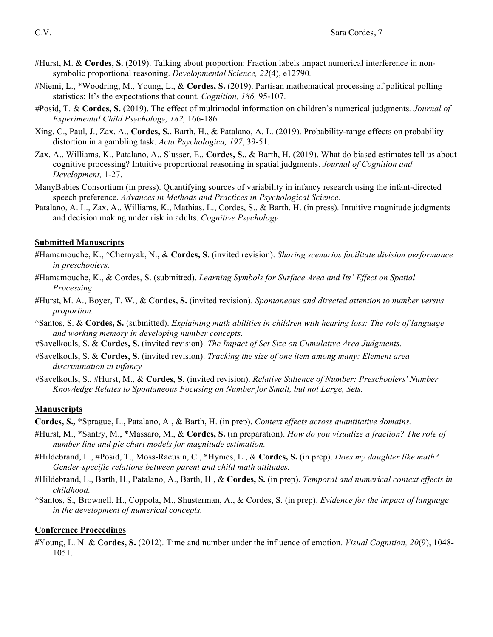- #Hurst, M. & **Cordes, S.** (2019). Talking about proportion: Fraction labels impact numerical interference in nonsymbolic proportional reasoning. *Developmental Science, 22*(4), e12790*.*
- #Niemi, L., \*Woodring, M., Young, L., & **Cordes, S.** (2019). Partisan mathematical processing of political polling statistics: It's the expectations that count. *Cognition, 186,* 95-107.
- *#*Posid, T. & **Cordes, S.** (2019). The effect of multimodal information on children's numerical judgments*. Journal of Experimental Child Psychology, 182,* 166-186.
- Xing, C., Paul, J., Zax, A., **Cordes, S.,** Barth, H., & Patalano, A. L. (2019). Probability-range effects on probability distortion in a gambling task. *Acta Psychologica, 197*, 39-51*.*
- Zax, A., Williams, K., Patalano, A., Slusser, E., **Cordes, S.**, & Barth, H. (2019). What do biased estimates tell us about cognitive processing? Intuitive proportional reasoning in spatial judgments. *Journal of Cognition and Development,* 1-27.
- ManyBabies Consortium (in press). Quantifying sources of variability in infancy research using the infant-directed speech preference. *Advances in Methods and Practices in Psychological Science*.
- Patalano, A. L., Zax, A., Williams, K., Mathias, L., Cordes, S., & Barth, H. (in press). Intuitive magnitude judgments and decision making under risk in adults. *Cognitive Psychology.*

#### **Submitted Manuscripts**

- #Hamamouche, K., ^Chernyak, N., & **Cordes, S**. (invited revision). *Sharing scenarios facilitate division performance in preschoolers.*
- #Hamamouche, K., & Cordes, S. (submitted). *Learning Symbols for Surface Area and Its' Effect on Spatial Processing.*
- #Hurst, M. A., Boyer, T. W., & **Cordes, S.** (invited revision). *Spontaneous and directed attention to number versus proportion.*
- ^Santos, S. & **Cordes, S.** (submitted). *Explaining math abilities in children with hearing loss: The role of language and working memory in developing number concepts.*
- *#*Savelkouls, S. & **Cordes, S.** (invited revision). *The Impact of Set Size on Cumulative Area Judgments.*
- *#*Savelkouls, S. & **Cordes, S.** (invited revision). *Tracking the size of one item among many: Element area discrimination in infancy*
- *#*Savelkouls, S., #Hurst, M., & **Cordes, S.** (invited revision). *Relative Salience of Number: Preschoolers' Number Knowledge Relates to Spontaneous Focusing on Number for Small, but not Large, Sets.*

#### **Manuscripts**

**Cordes, S.***,* \*Sprague, L., Patalano, A., & Barth, H. (in prep). *Context effects across quantitative domains.*

- #Hurst, M., \*Santry, M., \*Massaro, M., & **Cordes, S.** (in preparation). *How do you visualize a fraction? The role of number line and pie chart models for magnitude estimation.*
- #Hildebrand, L., #Posid, T., Moss-Racusin, C., \*Hymes, L., & **Cordes, S.** (in prep). *Does my daughter like math? Gender-specific relations between parent and child math attitudes.*
- #Hildebrand, L., Barth, H., Patalano, A., Barth, H., & **Cordes, S.** (in prep). *Temporal and numerical context effects in childhood.*
- ^Santos, S.*,* Brownell, H., Coppola, M., Shusterman, A., & Cordes, S. (in prep). *Evidence for the impact of language in the development of numerical concepts.*

#### **Conference Proceedings**

#Young, L. N. & **Cordes, S.** (2012). Time and number under the influence of emotion. *Visual Cognition, 20*(9), 1048- 1051.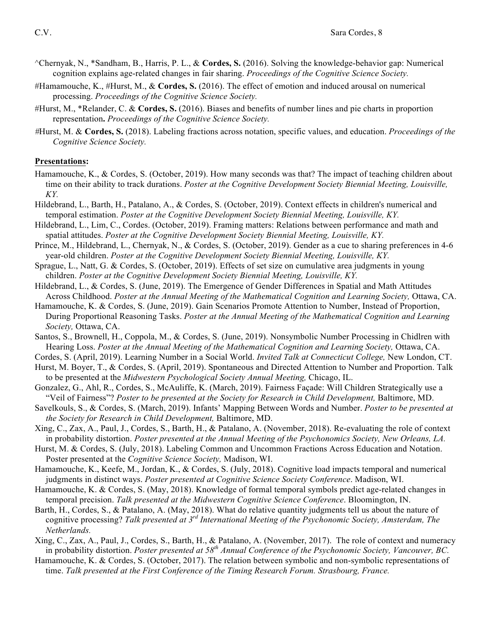- ^Chernyak, N., \*Sandham, B., Harris, P. L., & **Cordes, S.** (2016). Solving the knowledge-behavior gap: Numerical cognition explains age-related changes in fair sharing. *Proceedings of the Cognitive Science Society.*
- #Hamamouche, K., #Hurst, M., & **Cordes, S.** (2016). The effect of emotion and induced arousal on numerical processing. *Proceedings of the Cognitive Science Society.*
- #Hurst, M., \*Relander, C. & **Cordes, S.** (2016). Biases and benefits of number lines and pie charts in proportion representation**.** *Proceedings of the Cognitive Science Society.*
- *#*Hurst, M. & **Cordes, S.** (2018). Labeling fractions across notation, specific values, and education. *Proceedings of the Cognitive Science Society.*

### **Presentations:**

- Hamamouche, K., & Cordes, S. (October, 2019). How many seconds was that? The impact of teaching children about time on their ability to track durations. *Poster at the Cognitive Development Society Biennial Meeting, Louisville, KY.*
- Hildebrand, L., Barth, H., Patalano, A., & Cordes, S. (October, 2019). Context effects in children's numerical and temporal estimation. *Poster at the Cognitive Development Society Biennial Meeting, Louisville, KY.*
- Hildebrand, L., Lim, C., Cordes. (October, 2019). Framing matters: Relations between performance and math and spatial attitudes. *Poster at the Cognitive Development Society Biennial Meeting, Louisville, KY.*
- Prince, M., Hildebrand, L., Chernyak, N., & Cordes, S. (October, 2019). Gender as a cue to sharing preferences in 4-6 year-old children. *Poster at the Cognitive Development Society Biennial Meeting, Louisville, KY.*
- Sprague, L., Natt, G. & Cordes, S. (October, 2019). Effects of set size on cumulative area judgments in young children. *Poster at the Cognitive Development Society Biennial Meeting, Louisville, KY.*
- Hildebrand, L., & Cordes, S. (June, 2019). The Emergence of Gender Differences in Spatial and Math Attitudes Across Childhood. *Poster at the Annual Meeting of the Mathematical Cognition and Learning Society,* Ottawa, CA.
- Hamamouche, K. & Cordes, S. (June, 2019). Gain Scenarios Promote Attention to Number, Instead of Proportion, During Proportional Reasoning Tasks. *Poster at the Annual Meeting of the Mathematical Cognition and Learning Society,* Ottawa, CA.
- Santos, S., Brownell, H., Coppola, M., & Cordes, S. (June, 2019). Nonsymbolic Number Processing in Chidlren with Hearing Loss. *Poster at the Annual Meeting of the Mathematical Cognition and Learning Society,* Ottawa, CA.
- Cordes, S. (April, 2019). Learning Number in a Social World. *Invited Talk at Connecticut College,* New London, CT.
- Hurst, M. Boyer, T., & Cordes, S. (April, 2019). Spontaneous and Directed Attention to Number and Proportion. Talk to be presented at the *Midwestern Psychological Society Annual Meeting,* Chicago, IL.
- Gonzalez, G., Ahl, R., Cordes, S., McAuliffe, K. (March, 2019). Fairness Façade: Will Children Strategically use a "Veil of Fairness"? *Poster to be presented at the Society for Research in Child Development, Baltimore, MD.*
- Savelkouls, S., & Cordes, S. (March, 2019). Infants' Mapping Between Words and Number. *Poster to be presented at the Society for Research in Child Development,* Baltimore, MD.
- Xing, C., Zax, A., Paul, J., Cordes, S., Barth, H., & Patalano, A. (November, 2018). Re-evaluating the role of context in probability distortion. *Poster presented at the Annual Meeting of the Psychonomics Society, New Orleans, LA.*
- Hurst, M. & Cordes, S. (July, 2018). Labeling Common and Uncommon Fractions Across Education and Notation. Poster presented at the *Cognitive Science Society,* Madison, WI.
- Hamamouche, K., Keefe, M., Jordan, K., & Cordes, S. (July, 2018). Cognitive load impacts temporal and numerical judgments in distinct ways. *Poster presented at Cognitive Science Society Conference*. Madison, WI.
- Hamamouche, K. & Cordes, S. (May, 2018). Knowledge of formal temporal symbols predict age-related changes in temporal precision. *Talk presented at the Midwestern Cognitive Science Conference*. Bloomington, IN.
- Barth, H., Cordes, S., & Patalano, A. (May, 2018). What do relative quantity judgments tell us about the nature of cognitive processing? *Talk presented at 3rd International Meeting of the Psychonomic Society, Amsterdam, The Netherlands.*
- Xing, C., Zax, A., Paul, J., Cordes, S., Barth, H., & Patalano, A. (November, 2017). The role of context and numeracy in probability distortion. *Poster presented at 58th Annual Conference of the Psychonomic Society, Vancouver, BC.*
- Hamamouche, K. & Cordes, S. (October, 2017). The relation between symbolic and non-symbolic representations of time. *Talk presented at the First Conference of the Timing Research Forum. Strasbourg, France.*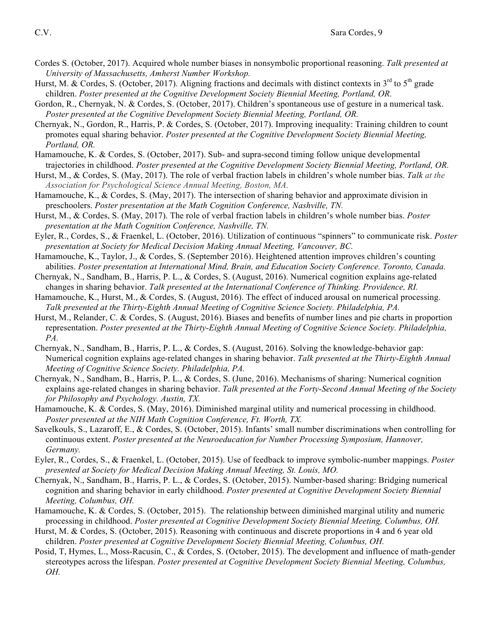- Cordes S. (October, 2017). Acquired whole number biases in nonsymbolic proportional reasoning. *Talk presented at University of Massachusetts, Amherst Number Workshop.*
- Hurst, M. & Cordes, S. (October, 2017). Aligning fractions and decimals with distinct contexts in  $3^{rd}$  to  $5^{th}$  grade children. *Poster presented at the Cognitive Development Society Biennial Meeting, Portland, OR.*
- Gordon, R., Chernyak, N. & Cordes, S. (October, 2017). Children's spontaneous use of gesture in a numerical task. *Poster presented at the Cognitive Development Society Biennial Meeting, Portland, OR.*
- Chernyak, N., Gordon, R., Harris, P. & Cordes, S. (October, 2017). Improving inequality: Training children to count promotes equal sharing behavior. *Poster presented at the Cognitive Development Society Biennial Meeting, Portland, OR.*
- Hamamouche, K. & Cordes, S. (October, 2017). Sub- and supra-second timing follow unique developmental trajectories in childhood. *Poster presented at the Cognitive Development Society Biennial Meeting, Portland, OR.*
- Hurst, M., & Cordes, S. (May, 2017). The role of verbal fraction labels in children's whole number bias. *Talk at the Association for Psychological Science Annual Meeting, Boston, MA.*
- Hamamouche, K., & Cordes, S. (May, 2017). The intersection of sharing behavior and approximate division in preschoolers. *Poster presentation at the Math Cognition Conference, Nashville, TN.*
- Hurst, M., & Cordes, S. (May, 2017). The role of verbal fraction labels in children's whole number bias. *Poster presentation at the Math Cognition Conference, Nashville, TN.*
- Eyler, R., Cordes, S., & Fraenkel, L. (October, 2016). Utilization of continuous "spinners" to communicate risk. *Poster presentation at Society for Medical Decision Making Annual Meeting, Vancouver, BC.*
- Hamamouche, K., Taylor, J., & Cordes, S. (September 2016). Heightened attention improves children's counting abilities. *Poster presentation at International Mind, Brain, and Education Society Conference. Toronto, Canada.*
- Chernyak, N., Sandham, B., Harris, P. L., & Cordes, S. (August, 2016). Numerical cognition explains age-related changes in sharing behavior. *Talk presented at the International Conference of Thinking. Providence, RI.*
- Hamamouche, K., Hurst, M., & Cordes, S. (August, 2016). The effect of induced arousal on numerical processing. *Talk presented at the Thirty-Eighth Annual Meeting of Cognitive Science Society. Philadelphia, PA.*
- Hurst, M., Relander, C. & Cordes, S. (August, 2016). Biases and benefits of number lines and pie charts in proportion representation. *Poster presented at the Thirty-Eighth Annual Meeting of Cognitive Science Society. Philadelphia, PA.*
- Chernyak, N., Sandham, B., Harris, P. L., & Cordes, S. (August, 2016). Solving the knowledge-behavior gap: Numerical cognition explains age-related changes in sharing behavior. *Talk presented at the Thirty-Eighth Annual Meeting of Cognitive Science Society. Philadelphia, PA.*
- Chernyak, N., Sandham, B., Harris, P. L., & Cordes, S. (June, 2016). Mechanisms of sharing: Numerical cognition explains age-related changes in sharing behavior. *Talk presented at the Forty-Second Annual Meeting of the Society for Philosophy and Psychology. Austin, TX.*
- Hamamouche, K. & Cordes, S. (May, 2016). Diminished marginal utility and numerical processing in childhood. *Poster presented at the NIH Math Cognition Conference, Ft. Worth, TX.*
- Savelkouls, S., Lazaroff, E., & Cordes, S. (October, 2015). Infants' small number discriminations when controlling for continuous extent. *Poster presented at the Neuroeducation for Number Processing Symposium, Hannover, Germany.*
- Eyler, R., Cordes, S., & Fraenkel, L. (October, 2015). Use of feedback to improve symbolic-number mappings. *Poster presented at Society for Medical Decision Making Annual Meeting, St. Louis, MO.*
- Chernyak, N., Sandham, B., Harris, P. L., & Cordes, S. (October, 2015). Number-based sharing: Bridging numerical cognition and sharing behavior in early childhood. *Poster presented at Cognitive Development Society Biennial Meeting, Columbus, OH.*
- Hamamouche, K. & Cordes, S. (October, 2015). The relationship between diminished marginal utility and numeric processing in childhood. *Poster presented at Cognitive Development Society Biennial Meeting, Columbus, OH.*
- Hurst, M. & Cordes, S. (October, 2015). Reasoning with continuous and discrete proportions in 4 and 6 year old children. *Poster presented at Cognitive Development Society Biennial Meeting, Columbus, OH.*
- Posid, T, Hymes, L., Moss-Racusin, C., & Cordes, S. (October, 2015). The development and influence of math-gender stereotypes across the lifespan. *Poster presented at Cognitive Development Society Biennial Meeting, Columbus, OH.*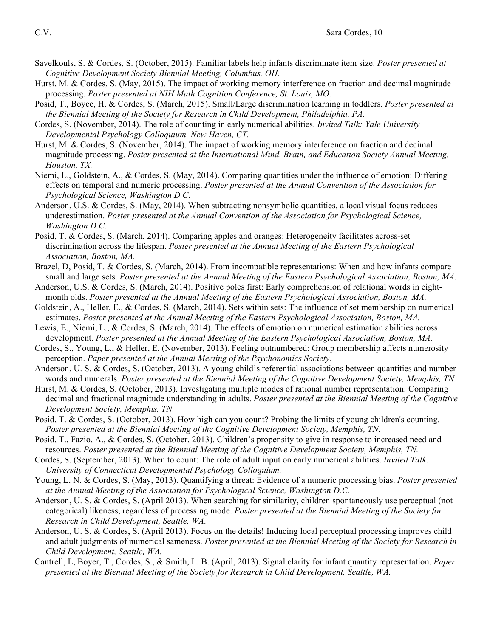- Savelkouls, S. & Cordes, S. (October, 2015). Familiar labels help infants discriminate item size. *Poster presented at Cognitive Development Society Biennial Meeting, Columbus, OH.*
- Hurst, M. & Cordes, S. (May, 2015). The impact of working memory interference on fraction and decimal magnitude processing. *Poster presented at NIH Math Cognition Conference, St. Louis, MO.*
- Posid, T., Boyce, H. & Cordes, S. (March, 2015). Small/Large discrimination learning in toddlers. *Poster presented at the Biennial Meeting of the Society for Research in Child Development, Philadelphia, PA.*
- Cordes, S. (November, 2014). The role of counting in early numerical abilities. *Invited Talk: Yale University Developmental Psychology Colloquium, New Haven, CT.*
- Hurst, M. & Cordes, S. (November, 2014). The impact of working memory interference on fraction and decimal magnitude processing. *Poster presented at the International Mind, Brain, and Education Society Annual Meeting, Houston, TX.*
- Niemi, L., Goldstein, A., & Cordes, S. (May, 2014). Comparing quantities under the influence of emotion: Differing effects on temporal and numeric processing. *Poster presented at the Annual Convention of the Association for Psychological Science, Washington D.C.*
- Anderson, U.S. & Cordes, S. (May, 2014). When subtracting nonsymbolic quantities, a local visual focus reduces underestimation. *Poster presented at the Annual Convention of the Association for Psychological Science, Washington D.C.*
- Posid, T. & Cordes, S. (March, 2014). Comparing apples and oranges: Heterogeneity facilitates across-set discrimination across the lifespan. *Poster presented at the Annual Meeting of the Eastern Psychological Association, Boston, MA.*
- Brazel, D, Posid, T. & Cordes, S. (March, 2014). From incompatible representations: When and how infants compare small and large sets. *Poster presented at the Annual Meeting of the Eastern Psychological Association, Boston, MA.*
- Anderson, U.S. & Cordes, S. (March, 2014). Positive poles first: Early comprehension of relational words in eightmonth olds. *Poster presented at the Annual Meeting of the Eastern Psychological Association, Boston, MA.*
- Goldstein, A., Heller, E., & Cordes, S. (March, 2014). Sets within sets: The influence of set membership on numerical estimates. *Poster presented at the Annual Meeting of the Eastern Psychological Association, Boston, MA.*
- Lewis, E., Niemi, L., & Cordes, S. (March, 2014). The effects of emotion on numerical estimation abilities across development. *Poster presented at the Annual Meeting of the Eastern Psychological Association, Boston, MA.*
- Cordes, S., Young, L., & Heller, E. (November, 2013). Feeling outnumbered: Group membership affects numerosity perception. *Paper presented at the Annual Meeting of the Psychonomics Society.*
- Anderson, U. S. & Cordes, S. (October, 2013). A young child's referential associations between quantities and number words and numerals. *Poster presented at the Biennial Meeting of the Cognitive Development Society, Memphis, TN.*
- Hurst, M. & Cordes, S. (October, 2013). Investigating multiple modes of rational number representation: Comparing decimal and fractional magnitude understanding in adults. *Poster presented at the Biennial Meeting of the Cognitive Development Society, Memphis, TN.*
- Posid, T. & Cordes, S. (October, 2013). How high can you count? Probing the limits of young children's counting. *Poster presented at the Biennial Meeting of the Cognitive Development Society, Memphis, TN.*
- Posid, T., Fazio, A., & Cordes, S. (October, 2013). Children's propensity to give in response to increased need and resources. *Poster presented at the Biennial Meeting of the Cognitive Development Society, Memphis, TN.*
- Cordes, S. (September, 2013). When to count: The role of adult input on early numerical abilities. *Invited Talk: University of Connecticut Developmental Psychology Colloquium.*
- Young, L. N. & Cordes, S. (May, 2013). Quantifying a threat: Evidence of a numeric processing bias. *Poster presented at the Annual Meeting of the Association for Psychological Science, Washington D.C.*
- Anderson, U. S. & Cordes, S. (April 2013). When searching for similarity, children spontaneously use perceptual (not categorical) likeness, regardless of processing mode. *Poster presented at the Biennial Meeting of the Society for Research in Child Development, Seattle, WA.*
- Anderson, U. S. & Cordes, S. (April 2013). Focus on the details! Inducing local perceptual processing improves child and adult judgments of numerical sameness. *Poster presented at the Biennial Meeting of the Society for Research in Child Development, Seattle, WA.*
- Cantrell, L, Boyer, T., Cordes, S., & Smith, L. B. (April, 2013). Signal clarity for infant quantity representation. *Paper presented at the Biennial Meeting of the Society for Research in Child Development, Seattle, WA.*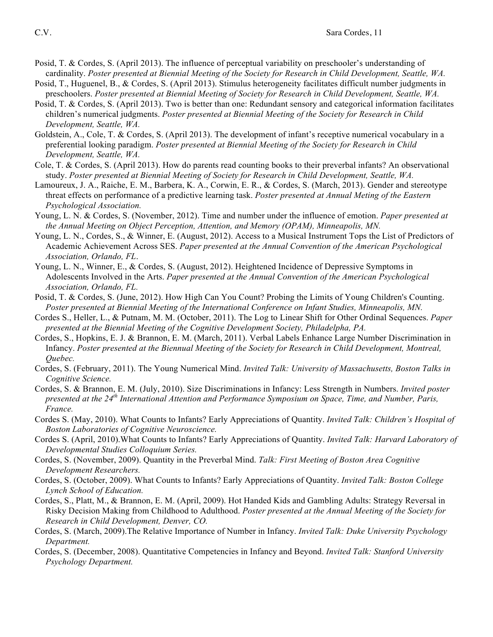- Posid, T. & Cordes, S. (April 2013). The influence of perceptual variability on preschooler's understanding of cardinality. *Poster presented at Biennial Meeting of the Society for Research in Child Development, Seattle, WA.*
- Posid, T., Huguenel, B., & Cordes, S. (April 2013). Stimulus heterogeneity facilitates difficult number judgments in preschoolers. *Poster presented at Biennial Meeting of Society for Research in Child Development, Seattle, WA.*
- Posid, T. & Cordes, S. (April 2013). Two is better than one: Redundant sensory and categorical information facilitates children's numerical judgments. *Poster presented at Biennial Meeting of the Society for Research in Child Development, Seattle, WA.*
- Goldstein, A., Cole, T. & Cordes, S. (April 2013). The development of infant's receptive numerical vocabulary in a preferential looking paradigm. *Poster presented at Biennial Meeting of the Society for Research in Child Development, Seattle, WA.*
- Cole, T. & Cordes, S. (April 2013). How do parents read counting books to their preverbal infants? An observational study. *Poster presented at Biennial Meeting of Society for Research in Child Development, Seattle, WA.*
- Lamoureux, J. A., Raiche, E. M., Barbera, K. A., Corwin, E. R., & Cordes, S. (March, 2013). Gender and stereotype threat effects on performance of a predictive learning task. *Poster presented at Annual Meting of the Eastern Psychological Association.*
- Young, L. N. & Cordes, S. (November, 2012). Time and number under the influence of emotion. *Paper presented at the Annual Meeting on Object Perception, Attention, and Memory (OPAM), Minneapolis, MN.*
- Young, L. N., Cordes, S., & Winner, E. (August, 2012). Access to a Musical Instrument Tops the List of Predictors of Academic Achievement Across SES. *Paper presented at the Annual Convention of the American Psychological Association, Orlando, FL*.
- Young, L. N., Winner, E., & Cordes, S. (August, 2012). Heightened Incidence of Depressive Symptoms in Adolescents Involved in the Arts. *Paper presented at the Annual Convention of the American Psychological Association, Orlando, FL.*
- Posid, T. & Cordes, S. (June, 2012). How High Can You Count? Probing the Limits of Young Children's Counting. *Poster presented at Biennial Meeting of the International Conference on Infant Studies, Minneapolis, MN.*
- Cordes S., Heller, L., & Putnam, M. M. (October, 2011). The Log to Linear Shift for Other Ordinal Sequences. *Paper presented at the Biennial Meeting of the Cognitive Development Society, Philadelpha, PA.*
- Cordes, S., Hopkins, E. J. & Brannon, E. M. (March, 2011). Verbal Labels Enhance Large Number Discrimination in Infancy. *Poster presented at the Biennual Meeting of the Society for Research in Child Development, Montreal, Quebec.*
- Cordes, S. (February, 2011). The Young Numerical Mind. *Invited Talk: University of Massachusetts, Boston Talks in Cognitive Science.*
- Cordes, S. & Brannon, E. M. (July, 2010). Size Discriminations in Infancy: Less Strength in Numbers. *Invited poster presented at the 24th International Attention and Performance Symposium on Space, Time, and Number, Paris, France.*
- Cordes S. (May, 2010). What Counts to Infants? Early Appreciations of Quantity. *Invited Talk: Children's Hospital of Boston Laboratories of Cognitive Neuroscience.*
- Cordes S. (April, 2010).What Counts to Infants? Early Appreciations of Quantity. *Invited Talk: Harvard Laboratory of Developmental Studies Colloquium Series.*
- Cordes, S. (November, 2009). Quantity in the Preverbal Mind. *Talk: First Meeting of Boston Area Cognitive Development Researchers.*
- Cordes, S. (October, 2009). What Counts to Infants? Early Appreciations of Quantity. *Invited Talk: Boston College Lynch School of Education.*
- Cordes, S., Platt, M., & Brannon, E. M. (April, 2009). Hot Handed Kids and Gambling Adults: Strategy Reversal in Risky Decision Making from Childhood to Adulthood. *Poster presented at the Annual Meeting of the Society for Research in Child Development, Denver, CO.*
- Cordes, S. (March, 2009).The Relative Importance of Number in Infancy. *Invited Talk: Duke University Psychology Department.*
- Cordes, S. (December, 2008). Quantitative Competencies in Infancy and Beyond. *Invited Talk: Stanford University Psychology Department.*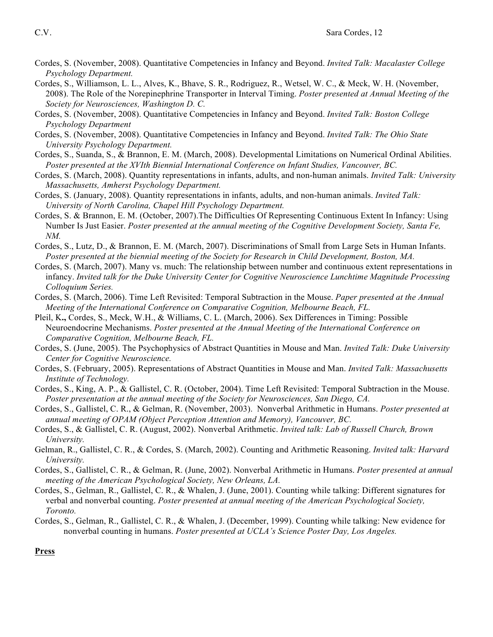- Cordes, S. (November, 2008). Quantitative Competencies in Infancy and Beyond. *Invited Talk: Macalaster College Psychology Department.*
- Cordes, S., Williamson, L. L., Alves, K., Bhave, S. R., Rodriguez, R., Wetsel, W. C., & Meck, W. H. (November, 2008). The Role of the Norepinephrine Transporter in Interval Timing. *Poster presented at Annual Meeting of the Society for Neurosciences, Washington D. C.*
- Cordes, S. (November, 2008). Quantitative Competencies in Infancy and Beyond. *Invited Talk: Boston College Psychology Department*
- Cordes, S. (November, 2008). Quantitative Competencies in Infancy and Beyond. *Invited Talk: The Ohio State University Psychology Department.*
- Cordes, S., Suanda, S., & Brannon, E. M. (March, 2008). Developmental Limitations on Numerical Ordinal Abilities. *Poster presented at the XVIth Biennial International Conference on Infant Studies, Vancouver, BC.*
- Cordes, S. (March, 2008). Quantity representations in infants, adults, and non-human animals. *Invited Talk: University Massachusetts, Amherst Psychology Department.*
- Cordes, S. (January, 2008). Quantity representations in infants, adults, and non-human animals. *Invited Talk: University of North Carolina, Chapel Hill Psychology Department.*
- Cordes, S. & Brannon, E. M. (October, 2007).The Difficulties Of Representing Continuous Extent In Infancy: Using Number Is Just Easier. *Poster presented at the annual meeting of the Cognitive Development Society, Santa Fe, NM.*
- Cordes, S., Lutz, D., & Brannon, E. M. (March, 2007). Discriminations of Small from Large Sets in Human Infants. *Poster presented at the biennial meeting of the Society for Research in Child Development, Boston, MA.*
- Cordes, S. (March, 2007). Many vs. much: The relationship between number and continuous extent representations in infancy. *Invited talk for the Duke University Center for Cognitive Neuroscience Lunchtime Magnitude Processing Colloquium Series.*
- Cordes, S. (March, 2006). Time Left Revisited: Temporal Subtraction in the Mouse. *Paper presented at the Annual Meeting of the International Conference on Comparative Cognition, Melbourne Beach, FL.*
- Pleil, K**.,** Cordes, S., Meck, W.H., & Williams, C. L. (March, 2006). Sex Differences in Timing: Possible Neuroendocrine Mechanisms. *Poster presented at the Annual Meeting of the International Conference on Comparative Cognition, Melbourne Beach, FL.*
- Cordes, S. (June, 2005). The Psychophysics of Abstract Quantities in Mouse and Man. *Invited Talk: Duke University Center for Cognitive Neuroscience.*
- Cordes, S. (February, 2005). Representations of Abstract Quantities in Mouse and Man. *Invited Talk: Massachusetts Institute of Technology.*
- Cordes, S., King, A. P., & Gallistel, C. R. (October, 2004). Time Left Revisited: Temporal Subtraction in the Mouse. *Poster presentation at the annual meeting of the Society for Neurosciences, San Diego, CA.*
- Cordes, S., Gallistel, C. R., & Gelman, R. (November, 2003). Nonverbal Arithmetic in Humans. *Poster presented at annual meeting of OPAM (Object Perception Attention and Memory), Vancouver, BC.*
- Cordes, S., & Gallistel, C. R. (August, 2002). Nonverbal Arithmetic. *Invited talk: Lab of Russell Church, Brown University.*
- Gelman, R., Gallistel, C. R., & Cordes, S. (March, 2002). Counting and Arithmetic Reasoning. *Invited talk: Harvard University.*
- Cordes, S., Gallistel, C. R., & Gelman, R. (June, 2002). Nonverbal Arithmetic in Humans. *Poster presented at annual meeting of the American Psychological Society, New Orleans, LA.*
- Cordes, S., Gelman, R., Gallistel, C. R., & Whalen, J. (June, 2001). Counting while talking: Different signatures for verbal and nonverbal counting. *Poster presented at annual meeting of the American Psychological Society, Toronto.*
- Cordes, S., Gelman, R., Gallistel, C. R., & Whalen, J. (December, 1999). Counting while talking: New evidence for nonverbal counting in humans. *Poster presented at UCLA's Science Poster Day, Los Angeles.*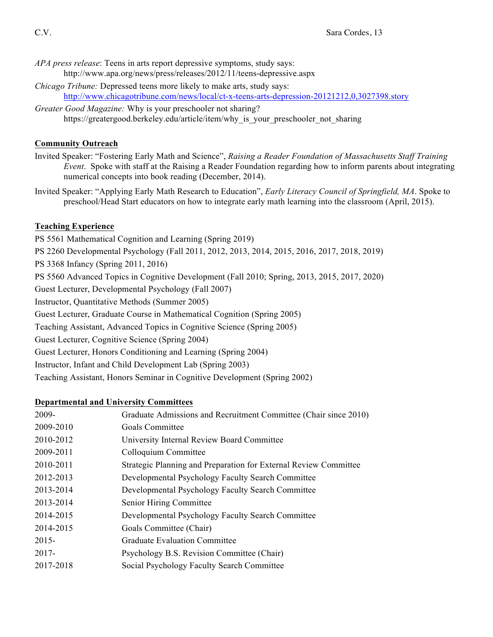- *APA press release*: Teens in arts report depressive symptoms, study says: http://www.apa.org/news/press/releases/2012/11/teens-depressive.aspx
- *Chicago Tribune:* Depressed teens more likely to make arts, study says: http://www.chicagotribune.com/news/local/ct-x-teens-arts-depression-20121212,0,3027398.story
- *Greater Good Magazine:* Why is your preschooler not sharing? https://greatergood.berkeley.edu/article/item/why\_is\_your\_preschooler\_not\_sharing

## **Community Outreach**

- Invited Speaker: "Fostering Early Math and Science", *Raising a Reader Foundation of Massachusetts Staff Training Event*. Spoke with staff at the Raising a Reader Foundation regarding how to inform parents about integrating numerical concepts into book reading (December, 2014).
- Invited Speaker: "Applying Early Math Research to Education", *Early Literacy Council of Springfield, MA*. Spoke to preschool/Head Start educators on how to integrate early math learning into the classroom (April, 2015).

## **Teaching Experience**

PS 5561 Mathematical Cognition and Learning (Spring 2019) PS 2260 Developmental Psychology (Fall 2011, 2012, 2013, 2014, 2015, 2016, 2017, 2018, 2019) PS 3368 Infancy (Spring 2011, 2016) PS 5560 Advanced Topics in Cognitive Development (Fall 2010; Spring, 2013, 2015, 2017, 2020) Guest Lecturer, Developmental Psychology (Fall 2007) Instructor, Quantitative Methods (Summer 2005) Guest Lecturer, Graduate Course in Mathematical Cognition (Spring 2005) Teaching Assistant, Advanced Topics in Cognitive Science (Spring 2005) Guest Lecturer, Cognitive Science (Spring 2004) Guest Lecturer, Honors Conditioning and Learning (Spring 2004) Instructor, Infant and Child Development Lab (Spring 2003)

Teaching Assistant, Honors Seminar in Cognitive Development (Spring 2002)

## **Departmental and University Committees**

| 2009-     | Graduate Admissions and Recruitment Committee (Chair since 2010) |
|-----------|------------------------------------------------------------------|
| 2009-2010 | Goals Committee                                                  |
| 2010-2012 | University Internal Review Board Committee                       |
| 2009-2011 | Colloquium Committee                                             |
| 2010-2011 | Strategic Planning and Preparation for External Review Committee |
| 2012-2013 | Developmental Psychology Faculty Search Committee                |
| 2013-2014 | Developmental Psychology Faculty Search Committee                |
| 2013-2014 | Senior Hiring Committee                                          |
| 2014-2015 | Developmental Psychology Faculty Search Committee                |
| 2014-2015 | Goals Committee (Chair)                                          |
| $2015 -$  | Graduate Evaluation Committee                                    |
| $2017 -$  | Psychology B.S. Revision Committee (Chair)                       |
| 2017-2018 | Social Psychology Faculty Search Committee                       |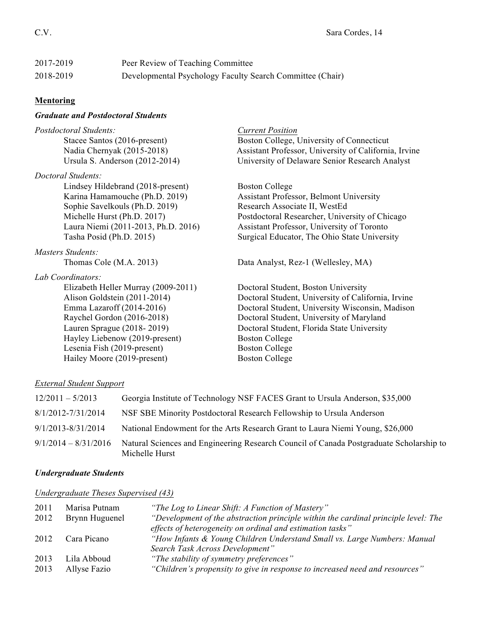| 2017-2019 | Peer Review of Teaching Committee                         |
|-----------|-----------------------------------------------------------|
| 2018-2019 | Developmental Psychology Faculty Search Committee (Chair) |

# **Mentoring**

# *Graduate and Postdoctoral Students*

| Postdoctoral Students:                                                                       | <b>Current Position</b>                               |
|----------------------------------------------------------------------------------------------|-------------------------------------------------------|
| Stacee Santos (2016-present)                                                                 | Boston College, University of Connecticut             |
| Nadia Chernyak (2015-2018)                                                                   | Assistant Professor, University of California, Irvine |
| Ursula S. Anderson (2012-2014)                                                               | University of Delaware Senior Research Analyst        |
| Doctoral Students:                                                                           |                                                       |
| Lindsey Hildebrand (2018-present)                                                            | <b>Boston College</b>                                 |
| Karina Hamamouche (Ph.D. 2019)                                                               | Assistant Professor, Belmont University               |
| Sophie Savelkouls (Ph.D. 2019)                                                               | Research Associate II, WestEd                         |
| Michelle Hurst (Ph.D. 2017)                                                                  | Postdoctoral Researcher, University of Chicago        |
| Laura Niemi (2011-2013, Ph.D. 2016)                                                          | Assistant Professor, University of Toronto            |
| Tasha Posid (Ph.D. 2015)                                                                     | Surgical Educator, The Ohio State University          |
| <b>Masters Students:</b>                                                                     |                                                       |
| Thomas Cole (M.A. 2013)                                                                      | Data Analyst, Rez-1 (Wellesley, MA)                   |
| Lab Coordinators:                                                                            |                                                       |
| Elizabeth Heller Murray (2009-2011)                                                          | Doctoral Student, Boston University                   |
| Alison Goldstein (2011-2014)                                                                 | Doctoral Student, University of California, Irvine    |
| Emma Lazaroff (2014-2016)                                                                    | Doctoral Student, University Wisconsin, Madison       |
| Raychel Gordon (2016-2018)                                                                   | Doctoral Student, University of Maryland              |
| Lauren Sprague (2018-2019)                                                                   | Doctoral Student, Florida State University            |
| Hayley Liebenow (2019-present)                                                               | <b>Boston College</b>                                 |
| Lesenia Fish (2019-present)                                                                  | <b>Boston College</b>                                 |
| Hailey Moore (2019-present)                                                                  | <b>Boston College</b>                                 |
|                                                                                              |                                                       |
| $\Gamma$ $\cdot$ $\Gamma$ $\Gamma$ $\cdot$ $\Gamma$ $\cdot$ $\Gamma$ $\cdot$ $\cdot$ $\cdot$ |                                                       |

### *External Student Support*

| $12/2011 - 5/2013$     | Georgia Institute of Technology NSF FACES Grant to Ursula Anderson, \$35,000                              |
|------------------------|-----------------------------------------------------------------------------------------------------------|
| 8/1/2012-7/31/2014     | NSF SBE Minority Postdoctoral Research Fellowship to Ursula Anderson                                      |
| 9/1/2013-8/31/2014     | National Endowment for the Arts Research Grant to Laura Niemi Young, \$26,000                             |
| $9/1/2014 - 8/31/2016$ | Natural Sciences and Engineering Research Council of Canada Postgraduate Scholarship to<br>Michelle Hurst |

# *Undergraduate Students*

*Undergraduate Theses Supervised (43)*

| 2011 | Marisa Putnam  | "The Log to Linear Shift: A Function of Mastery"                                   |
|------|----------------|------------------------------------------------------------------------------------|
| 2012 | Brynn Huguenel | "Development of the abstraction principle within the cardinal principle level: The |
|      |                | effects of heterogeneity on ordinal and estimation tasks"                          |
| 2012 | Cara Picano    | "How Infants & Young Children Understand Small vs. Large Numbers: Manual           |
|      |                | Search Task Across Development"                                                    |
| 2013 | Lila Abboud    | "The stability of symmetry preferences"                                            |
| 2013 | Allyse Fazio   | "Children's propensity to give in response to increased need and resources"        |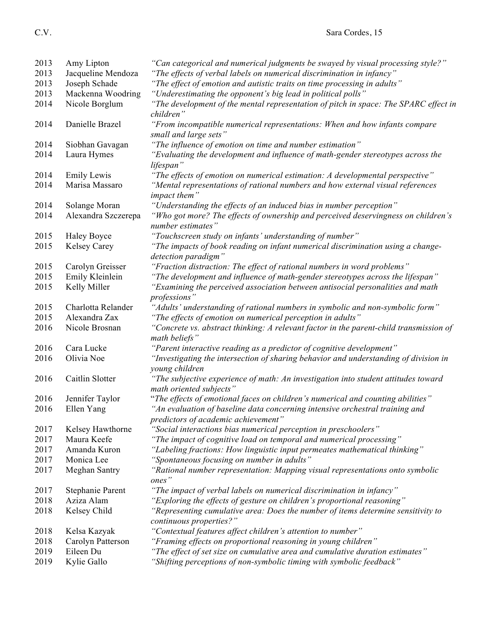| 2013         | Amy Lipton               | "Can categorical and numerical judgments be swayed by visual processing style?"                                                                       |
|--------------|--------------------------|-------------------------------------------------------------------------------------------------------------------------------------------------------|
| 2013         | Jacqueline Mendoza       | "The effects of verbal labels on numerical discrimination in infancy"                                                                                 |
| 2013         | Joseph Schade            | "The effect of emotion and autistic traits on time processing in adults"                                                                              |
| 2013         | Mackenna Woodring        | "Underestimating the opponent's big lead in political polls"                                                                                          |
| 2014         | Nicole Borglum           | "The development of the mental representation of pitch in space: The SPARC effect in<br>children"                                                     |
| 2014         | Danielle Brazel          | "From incompatible numerical representations: When and how infants compare<br>small and large sets"                                                   |
| 2014         | Siobhan Gavagan          | "The influence of emotion on time and number estimation"                                                                                              |
| 2014         | Laura Hymes              | "Evaluating the development and influence of math-gender stereotypes across the<br>lifespan"                                                          |
| 2014         | <b>Emily Lewis</b>       | "The effects of emotion on numerical estimation: A developmental perspective"                                                                         |
| 2014         | Marisa Massaro           | "Mental representations of rational numbers and how external visual references<br>impact them"                                                        |
| 2014         | Solange Moran            | "Understanding the effects of an induced bias in number perception"                                                                                   |
| 2014         | Alexandra Szczerepa      | "Who got more? The effects of ownership and perceived deservingness on children's<br>number estimates"                                                |
| 2015         | <b>Haley Boyce</b>       | "Touchscreen study on infants' understanding of number"                                                                                               |
| 2015         | Kelsey Carey             | "The impacts of book reading on infant numerical discrimination using a change-<br>detection paradigm"                                                |
| 2015         | Carolyn Greisser         | "Fraction distraction: The effect of rational numbers in word problems"                                                                               |
| 2015         | Emily Kleinlein          | "The development and influence of math-gender stereotypes across the lifespan"                                                                        |
| 2015         | Kelly Miller             | "Examining the perceived association between antisocial personalities and math<br>professions"                                                        |
| 2015         | Charlotta Relander       | "Adults' understanding of rational numbers in symbolic and non-symbolic form"                                                                         |
| 2015         | Alexandra Zax            | "The effects of emotion on numerical perception in adults"                                                                                            |
| 2016         | Nicole Brosnan           | "Concrete vs. abstract thinking: A relevant factor in the parent-child transmission of<br>math beliefs"                                               |
| 2016         | Cara Lucke               | "Parent interactive reading as a predictor of cognitive development"                                                                                  |
| 2016         | Olivia Noe               | "Investigating the intersection of sharing behavior and understanding of division in<br>young children                                                |
| 2016         | Caitlin Slotter          | "The subjective experience of math: An investigation into student attitudes toward<br>math oriented subjects"                                         |
| 2016         | Jennifer Taylor          | "The effects of emotional faces on children's numerical and counting abilities"                                                                       |
| 2016         | Ellen Yang               | "An evaluation of baseline data concerning intensive orchestral training and<br>predictors of academic achievement"                                   |
| 2017         | Kelsey Hawthorne         | "Social interactions bias numerical perception in preschoolers"                                                                                       |
| 2017         | Maura Keefe              | "The impact of cognitive load on temporal and numerical processing"                                                                                   |
| 2017         | Amanda Kuron             | "Labeling fractions: How linguistic input permeates mathematical thinking"                                                                            |
| 2017         | Monica Lee               | "Spontaneous focusing on number in adults"                                                                                                            |
| 2017         | Meghan Santry            | "Rational number representation: Mapping visual representations onto symbolic<br>ones"                                                                |
| 2017         | Stephanie Parent         | "The impact of verbal labels on numerical discrimination in infancy"                                                                                  |
| 2018         | Aziza Alam               | "Exploring the effects of gesture on children's proportional reasoning"                                                                               |
| 2018         | Kelsey Child             | "Representing cumulative area: Does the number of items determine sensitivity to<br>continuous properties?"                                           |
| 2018         | Kelsa Kazyak             | "Contextual features affect children's attention to number"                                                                                           |
| 2018         | Carolyn Patterson        | "Framing effects on proportional reasoning in young children"                                                                                         |
| 2019<br>2019 | Eileen Du<br>Kylie Gallo | "The effect of set size on cumulative area and cumulative duration estimates"<br>"Shifting perceptions of non-symbolic timing with symbolic feedback" |